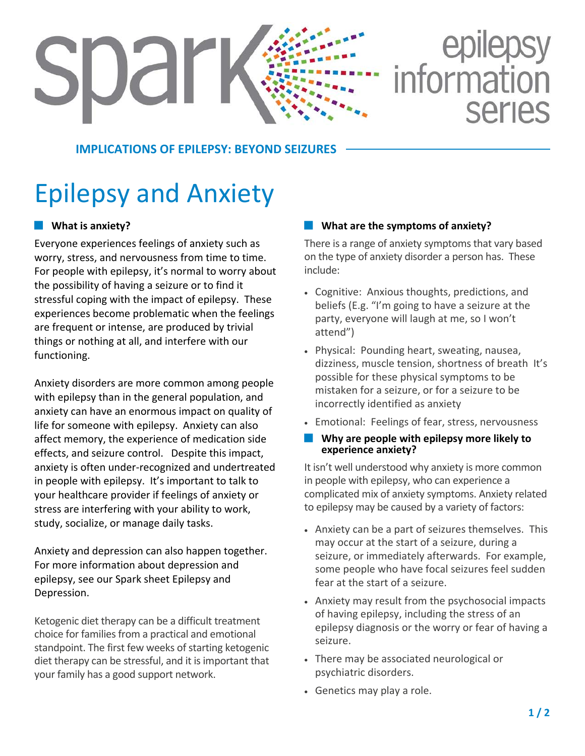# epilepsy<br>information SUdr **Series**

#### **IMPLICATIONS OF EPILEPSY: BEYOND SEIZURES**

## Epilepsy and Anxiety

#### **What is anxiety?**

Everyone experiences feelings of anxiety such as worry, stress, and nervousness from time to time. For people with epilepsy, it's normal to worry about the possibility of having a seizure or to find it stressful coping with the impact of epilepsy. These experiences become problematic when the feelings are frequent or intense, are produced by trivial things or nothing at all, and interfere with our functioning.

Anxiety disorders are more common among people with epilepsy than in the general population, and anxiety can have an enormous impact on quality of life for someone with epilepsy. Anxiety can also affect memory, the experience of medication side effects, and seizure control. Despite this impact, anxiety is often under-recognized and undertreated in people with epilepsy. It's important to talk to your healthcare provider if feelings of anxiety or stress are interfering with your ability to work, study, socialize, or manage daily tasks.

Anxiety and depression can also happen together. For more information about depression and epilepsy, see our Spark sheet Epilepsy and Depression.

Ketogenic diet therapy can be a difficult treatment choice for families from a practical and emotional standpoint. The first few weeks of starting ketogenic diet therapy can be stressful, and it is important that your family has a good support network.

#### **What are the symptoms of anxiety?**

There is a range of anxiety symptoms that vary based on the type of anxiety disorder a person has. These include:

- Cognitive: Anxious thoughts, predictions, and beliefs (E.g. "I'm going to have a seizure at the party, everyone will laugh at me, so I won't attend")
- Physical: Pounding heart, sweating, nausea, dizziness, muscle tension, shortness of breath It's possible for these physical symptoms to be mistaken for a seizure, or for a seizure to be incorrectly identified as anxiety
- Emotional: Feelings of fear, stress, nervousness

#### **Why are people with epilepsy more likely to experience anxiety?**

It isn't well understood why anxiety is more common in people with epilepsy, who can experience a complicated mix of anxiety symptoms. Anxiety related to epilepsy may be caused by a variety of factors:

- Anxiety can be a part of seizures themselves. This may occur at the start of a seizure, during a seizure, or immediately afterwards. For example, some people who have focal seizures feel sudden fear at the start of a seizure.
- Anxiety may result from the psychosocial impacts of having epilepsy, including the stress of an epilepsy diagnosis or the worry or fear of having a seizure.
- There may be associated neurological or psychiatric disorders.
- Genetics may play a role.